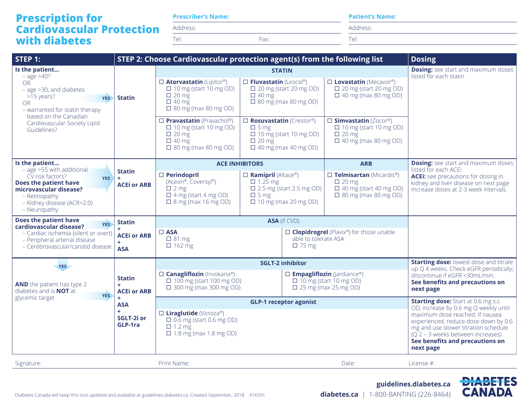## **Prescription for Cardiovascular Protection with diabetes**

**Prescriber's Name:**

Address:

Tel: Fax:

**Patient's Name:**

Address:

Tel:

| STEP 1:                                                                                                                                                                                                                | STEP 2: Choose Cardiovascular protection agent(s) from the following list<br><b>Dosing</b> |                                                                                                                                                                                                                          |                                                                                                                                                                                                                       |                                                                                                                                                                                    |                                                                                                                                                                                                                                                                                              |
|------------------------------------------------------------------------------------------------------------------------------------------------------------------------------------------------------------------------|--------------------------------------------------------------------------------------------|--------------------------------------------------------------------------------------------------------------------------------------------------------------------------------------------------------------------------|-----------------------------------------------------------------------------------------------------------------------------------------------------------------------------------------------------------------------|------------------------------------------------------------------------------------------------------------------------------------------------------------------------------------|----------------------------------------------------------------------------------------------------------------------------------------------------------------------------------------------------------------------------------------------------------------------------------------------|
| Is the patient<br>$-$ age $>40$ ?<br>OR.<br>- age >30, and diabetes<br>>15 years?<br><b>YES</b><br><b>OR</b><br>- warranted for statin therapy<br>based on the Canadian<br>Cardiovascular Society Lipid<br>Guidelines? | <b>Statin</b>                                                                              | $\square$ Atorvastatin (Lipitor®)<br>$\Box$ 10 mg (start 10 mg OD)<br>$\Box$ 20 mg<br>$\Box$ 40 mg<br>$\Box$ 80 mg (max 80 mg OD)<br>$\square$ Pravastatin (Pravachol®)<br>$\Box$ 10 mg (start 10 mg OD)<br>$\Box$ 20 mg | <b>STATIN</b><br>$\square$ Fluvastatin (Lescol®)<br>$\Box$ 20 mg (start 20 mg OD)<br>$\Box$ 40 mg<br>$\Box$ 80 mg (max 80 mg OD)<br>$\square$ Rosuvastatin (Crestor®)<br>$\Box$ 5 mg<br>$\Box$ 10 mg (start 10 mg OD) | $\square$ Lovastatin (Mecavor®)<br>$\Box$ 20 mg (start 20 mg OD)<br>$\Box$ 40 mg (max 80 mg OD)<br>$\square$ Simvastatin (Zocor®)<br>$\Box$ 10 mg (start 10 mg OD)<br>$\Box$ 20 mg | <b>Dosing:</b> see start and maximum doses<br>listed for each statin                                                                                                                                                                                                                         |
|                                                                                                                                                                                                                        |                                                                                            | $\Box$ 40 mg<br>$\Box$ 80 mg (max 80 mg OD)                                                                                                                                                                              | $\Box$ 20 mg<br>$\Box$ 40 mg (max 40 mg OD)                                                                                                                                                                           | $\Box$ 40 mg (max 80 mg OD)                                                                                                                                                        |                                                                                                                                                                                                                                                                                              |
| Is the patient<br>- age >55 with additional<br>CV risk factors?<br><b>YES</b><br>Does the patient have<br>microvascular disease?<br>- Retinopathy<br>- Kidney disease (ACR>2.0)<br>- Neuropathy                        | <b>Statin</b><br><b>ACEI or ARB</b>                                                        | $\Box$ Perindopril<br>(Aceon®, Coversyl®)<br>$\Box$ 2 mg<br>$\Box$ 4 mg (start 4 mg OD)<br>$\Box$ 8 mg (max 16 mg OD)                                                                                                    | <b>ACE INHIBITORS</b><br>$\Box$ Ramipril (Altace®)<br>$\Box$ 1.25 mg<br>$\Box$ 2.5 mg (start 2.5 mg OD)<br>$\Box$ 5 mg<br>$\Box$ 10 mg (max 20 mg OD)                                                                 | <b>ARB</b><br>$\square$ Telmisartan (Micardis®)<br>$\Box$ 20 mg<br>$\Box$ 40 mg (start 40 mg OD)<br>$\Box$ 80 mg (max 80 mg OD)                                                    | <b>Dosing:</b> see start and maximum doses<br>listed for each ACEi<br><b>ACEI:</b> see precautions for dosing in<br>kidney and liver disease on next page<br>Increase doses at 2-3 week intervals.                                                                                           |
| Does the patient have<br><b>YES</b><br>cardiovascular disease?<br>- Cardiac ischemia (silent or overt)<br>- Peripheral arterial disease<br>- Cerebrovascular/carotid disease                                           | <b>Statin</b><br><b>ACEI or ARB</b><br><b>ASA</b>                                          | $\square$ ASA<br>$\Box$ 81 mg<br>$\Box$ 162 mg                                                                                                                                                                           | <b>ASA</b> (if CVD)<br>able to tolerate ASA<br>$\Box$ 75 mg                                                                                                                                                           | $\square$ <b>Clopidrogrel</b> (Plavix®) for those unable                                                                                                                           |                                                                                                                                                                                                                                                                                              |
| YES<br><b>Statin</b><br><b>AND</b> the patient has type 2<br>diabetes and is <b>NOT</b> at<br><b>YES</b><br>glycemic target<br><b>ASA</b><br>SGLT-2i or<br>GLP-1ra                                                     | <b>ACEI or ARB</b>                                                                         | <b>SGLT-2 inhibitor</b>                                                                                                                                                                                                  |                                                                                                                                                                                                                       | <b>Starting dose:</b> lowest dose and titrate<br>up Q 4 weeks. Check eGFR periodically;                                                                                            |                                                                                                                                                                                                                                                                                              |
|                                                                                                                                                                                                                        |                                                                                            | □ <b>Canagliflozin</b> (Invokana®)<br>$\Box$ 100 mg (start 100 mg OD)<br>$\Box$ 300 mg (max 300 mg OD)                                                                                                                   |                                                                                                                                                                                                                       | $\square$ Empagliflozin (Jardiance®)<br>$\Box$ 10 mg (start 10 mg OD)<br>$\Box$ 25 mg (max 25 mg OD)                                                                               | discontinue if eGFR <30mL/min.<br>See benefits and precautions on<br>next page                                                                                                                                                                                                               |
|                                                                                                                                                                                                                        |                                                                                            | <b>GLP-1 receptor agonist</b><br>$\square$ Liraglutide (Victoza®)<br>$\Box$ 0.6 mg (start 0.6 mg OD)<br>$\Box$ 1.2 mg<br>$\Box$ 1.8 mg (max 1.8 mg OD)                                                                   |                                                                                                                                                                                                                       |                                                                                                                                                                                    | <b>Starting dose:</b> Start at 0.6 mg s.c.<br>OD, increase by 0.6 mg Q weekly until<br>maximum dose reached. If nausea<br>experienced, reduce dose down by 0.6<br>mg and use slower titration schedule<br>$(Q2 - 3$ weeks between increases)<br>See benefits and precautions on<br>next page |
| Signature:                                                                                                                                                                                                             |                                                                                            | Print Name:                                                                                                                                                                                                              |                                                                                                                                                                                                                       | Date:                                                                                                                                                                              | License #:                                                                                                                                                                                                                                                                                   |

**guidelines.diabetes.ca diabetes.ca** | 1-800-BANTING (226-8464)

**DIABETES**<br>CANADA